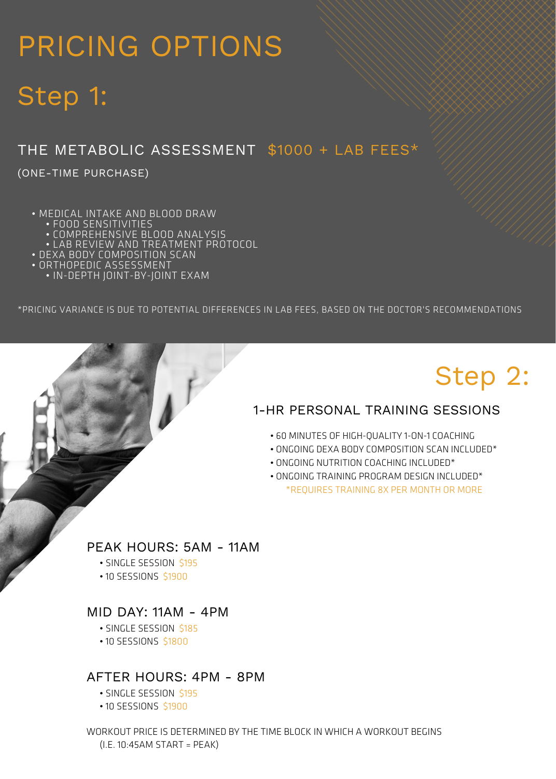# PRICING OPTIONS

# Step 1:

## THE METABOLIC ASSESSMENT \$1000 + LAB FEES\*

(ONE-TIME PURCHASE)

- MEDICAL INTAKE AND BLOOD DRAW
	-
	- FOOD SENSITIVITIES COMPREHENSIVE BLOOD ANALYSIS
	- LAB REVIEW AND TREATMENT PROTOCOL
- DEXA BODY COMPOSITION SCAN
- ORTHOPEDIC ASSESSMENT
	- IN-DEPTH JOINT-BY-JOINT EXAM

\*PRICING VARIANCE IS DUE TO POTENTIAL DIFFERENCES IN LAB FEES, BASED ON THE DOCTOR'S RECOMMENDATIONS

# Step 2:

### 1-HR PERSONAL TRAINING SESSIONS

- 60 MINUTES OF HIGH-QUALITY 1-ON-1 COACHING
- ONGOING DEXA BODY COMPOSITION SCAN INCLUDED\*
- ONGOING NUTRITION COACHING INCLUDED\*
- ONGOING TRAINING PROGRAM DESIGN INCLUDED\* \*REQUIRES TRAINING 8X PER MONTH OR MORE

### PEAK HOURS: 5AM - 11AM

- SINGLE SESSION \$195
- 10 SESSIONS \$1900

### MID DAY: 11AM - 4PM

- SINGLE SESSION \$185
- 10 SESSIONS \$1800

### AFTER HOURS: 4PM - 8PM

- SINGLE SESSION \$195
- 10 SESSIONS \$1900

WORKOUT PRICE IS DETERMINED BY THE TIME BLOCK IN WHICH A WORKOUT BEGINS (I.E. 10:45AM START = PEAK)